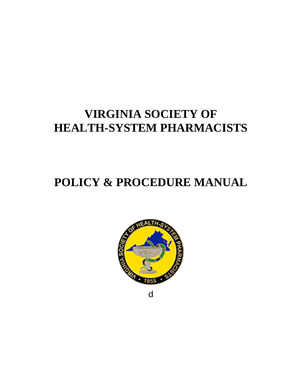## **VIRGINIA SOCIETY OF HEALTH-SYSTEM PHARMACISTS**

# **POLICY & PROCEDURE MANUAL**



d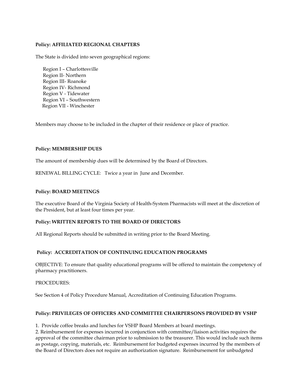## **Policy: AFFILIATED REGIONAL CHAPTERS**

The State is divided into seven geographical regions:

 Region I – Charlottesville Region II- Northern Region III- Roanoke Region IV- Richmond Region V - Tidewater Region VI – Southwestern Region VII - Winchester

Members may choose to be included in the chapter of their residence or place of practice.

## **Policy: MEMBERSHIP DUES**

The amount of membership dues will be determined by the Board of Directors.

RENEWAL BILLING CYCLE: Twice a year in June and December.

## **Policy: BOARD MEETINGS**

The executive Board of the Virginia Society of Health-System Pharmacists will meet at the discretion of the President, but at least four times per year.

#### **Policy: WRITTEN REPORTS TO THE BOARD OF DIRECTORS**

All Regional Reports should be submitted in writing prior to the Board Meeting.

## **Policy: ACCREDITATION OF CONTINUING EDUCATION PROGRAMS**

OBJECTIVE: To ensure that quality educational programs will be offered to maintain the competency of pharmacy practitioners.

#### PROCEDURES:

See Section 4 of Policy Procedure Manual, Accreditation of Continuing Education Programs.

## **Policy: PRIVILEGES OF OFFICERS AND COMMITTEE CHAIRPERSONS PROVIDED BY VSHP**

1. Provide coffee breaks and lunches for VSHP Board Members at board meetings.

2. Reimbursement for expenses incurred in conjunction with committee/liaison activities requires the approval of the committee chairman prior to submission to the treasurer. This would include such items as postage, copying, materials, etc. Reimbursement for budgeted expenses incurred by the members of the Board of Directors does not require an authorization signature. Reimbursement for unbudgeted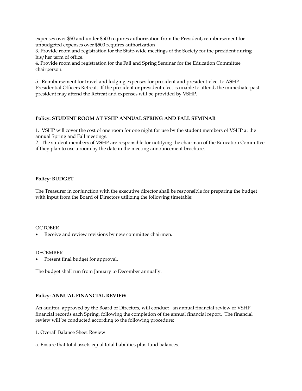expenses over \$50 and under \$500 requires authorization from the President; reimbursement for unbudgeted expenses over \$500 requires authorization

3. Provide room and registration for the State-wide meetings of the Society for the president during his/her term of office.

4. Provide room and registration for the Fall and Spring Seminar for the Education Committee chairperson.

5. Reimbursement for travel and lodging expenses for president and president-elect to ASHP Presidential Officers Retreat. If the president or president-elect is unable to attend, the immediate-past president may attend the Retreat and expenses will be provided by VSHP.

#### **Policy: STUDENT ROOM AT VSHP ANNUAL SPRING AND FALL SEMINAR**

1. VSHP will cover the cost of one room for one night for use by the student members of VSHP at the annual Spring and Fall meetings.

2. The student members of VSHP are responsible for notifying the chairman of the Education Committee if they plan to use a room by the date in the meeting announcement brochure.

#### **Policy: BUDGET**

The Treasurer in conjunction with the executive director shall be responsible for preparing the budget with input from the Board of Directors utilizing the following timetable:

#### **OCTOBER**

Receive and review revisions by new committee chairmen.

#### DECEMBER

Present final budget for approval.

The budget shall run from January to December annually.

#### **Policy: ANNUAL FINANCIAL REVIEW**

An auditor, approved by the Board of Directors, will conduct an annual financial review of VSHP financial records each Spring, following the completion of the annual financial report. The financial review will be conducted according to the following procedure:

1. Overall Balance Sheet Review

a. Ensure that total assets equal total liabilities plus fund balances.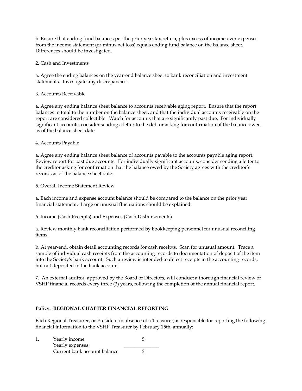b. Ensure that ending fund balances per the prior year tax return, plus excess of income over expenses from the income statement (or minus net loss) equals ending fund balance on the balance sheet. Differences should be investigated.

2. Cash and Investments

a. Agree the ending balances on the year-end balance sheet to bank reconciliation and investment statements. Investigate any discrepancies.

3. Accounts Receivable

a. Agree any ending balance sheet balance to accounts receivable aging report. Ensure that the report balances in total to the number on the balance sheet, and that the individual accounts receivable on the report are considered collectible. Watch for accounts that are significantly past due. For individually significant accounts, consider sending a letter to the debtor asking for confirmation of the balance owed as of the balance sheet date.

## 4. Accounts Payable

a. Agree any ending balance sheet balance of accounts payable to the accounts payable aging report. Review report for past due accounts. For individually significant accounts, consider sending a letter to the creditor asking for confirmation that the balance owed by the Society agrees with the creditor's records as of the balance sheet date.

5. Overall Income Statement Review

a. Each income and expense account balance should be compared to the balance on the prior year financial statement. Large or unusual fluctuations should be explained.

6. Income (Cash Receipts) and Expenses (Cash Disbursements)

a. Review monthly bank reconciliation performed by bookkeeping personnel for unusual reconciling items.

b. At year-end, obtain detail accounting records for cash receipts. Scan for unusual amount. Trace a sample of individual cash receipts from the accounting records to documentation of deposit of the item into the Society's bank account. Such a review is intended to detect receipts in the accounting records, but not deposited in the bank account.

7. An external auditor, approved by the Board of Directors, will conduct a thorough financial review of VSHP financial records every three (3) years, following the completion of the annual financial report.

## **Policy: REGIONAL CHAPTER FINANCIAL REPORTING**

Each Regional Treasurer, or President in absence of a Treasurer, is responsible for reporting the following financial information to the VSHP Treasurer by February 15th, annually:

|  | Yearly income                |  |
|--|------------------------------|--|
|  | Yearly expenses              |  |
|  | Current bank account balance |  |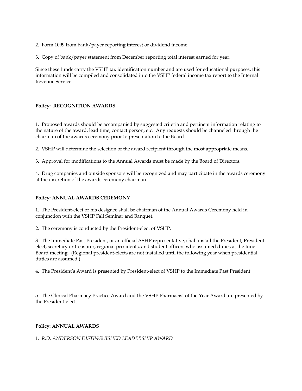- 2. Form 1099 from bank/payer reporting interest or dividend income.
- 3. Copy of bank/payer statement from December reporting total interest earned for year.

Since these funds carry the VSHP tax identification number and are used for educational purposes, this information will be compiled and consolidated into the VSHP federal income tax report to the Internal Revenue Service.

## **Policy: RECOGNITION AWARDS**

1. Proposed awards should be accompanied by suggested criteria and pertinent information relating to the nature of the award, lead time, contact person, etc. Any requests should be channeled through the chairman of the awards ceremony prior to presentation to the Board.

2. VSHP will determine the selection of the award recipient through the most appropriate means.

3. Approval for modifications to the Annual Awards must be made by the Board of Directors.

4. Drug companies and outside sponsors will be recognized and may participate in the awards ceremony at the discretion of the awards ceremony chairman.

#### **Policy: ANNUAL AWARDS CEREMONY**

1. The President-elect or his designee shall be chairman of the Annual Awards Ceremony held in conjunction with the VSHP Fall Seminar and Banquet.

2. The ceremony is conducted by the President-elect of VSHP.

3. The Immediate Past President, or an official ASHP representative, shall install the President, Presidentelect, secretary or treasurer, regional presidents, and student officers who assumed duties at the June Board meeting. (Regional president-elects are not installed until the following year when presidential duties are assumed.)

4. The President's Award is presented by President-elect of VSHP to the Immediate Past President.

5. The Clinical Pharmacy Practice Award and the VSHP Pharmacist of the Year Award are presented by the President-elect.

#### **Policy: ANNUAL AWARDS**

1. *R.D. ANDERSON DISTINGUISHED LEADERSHIP AWARD*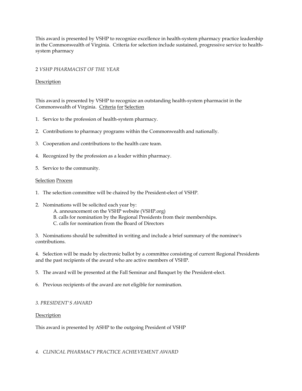This award is presented by VSHP to recognize excellence in health-system pharmacy practice leadership in the Commonwealth of Virginia. Criteria for selection include sustained, progressive service to healthsystem pharmacy

## 2 *VSHP PHARMACIST OF THE YEAR*

## **Description**

This award is presented by VSHP to recognize an outstanding health-system pharmacist in the Commonwealth of Virginia. Criteria for Selection

- 1. Service to the profession of health-system pharmacy.
- 2. Contributions to pharmacy programs within the Commonwealth and nationally.
- 3. Cooperation and contributions to the health care team.
- 4. Recognized by the profession as a leader within pharmacy.
- 5. Service to the community.

#### Selection Process

- 1. The selection committee will be chaired by the President-elect of VSHP.
- 2. Nominations will be solicited each year by:
	- A. announcement on the VSHP website (VSHP.org)
	- B. calls for nomination by the Regional Presidents from their memberships.
	- C. calls for nomination from the Board of Directors

3. Nominations should be submitted in writing and include a brief summary of the nominee's contributions.

4. Selection will be made by electronic ballot by a committee consisting of current Regional Presidents and the past recipients of the award who are active members of VSHP.

5. The award will be presented at the Fall Seminar and Banquet by the President-elect.

6. Previous recipients of the award are not eligible for nomination.

## *3. PRESIDENT'S AWARD*

**Description** 

This award is presented by ASHP to the outgoing President of VSHP

*4. CLINICAL PHARMACY PRACTICE ACHIEVEMENT AWARD*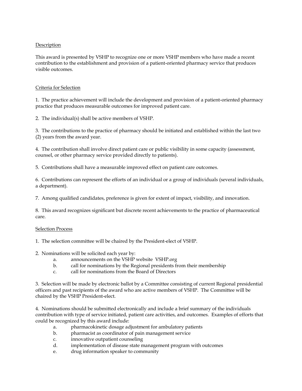## Description

This award is presented by VSHP to recognize one or more VSHP members who have made a recent contribution to the establishment and provision of a patient-oriented pharmacy service that produces visible outcomes.

#### Criteria for Selection

1. The practice achievement will include the development and provision of a patient-oriented pharmacy practice that produces measurable outcomes for improved patient care.

2. The individual(s) shall be active members of VSHP.

3. The contributions to the practice of pharmacy should be initiated and established within the last two (2) years from the award year.

4. The contribution shall involve direct patient care or public visibility in some capacity (assessment, counsel, or other pharmacy service provided directly to patients).

5. Contributions shall have a measurable improved effect on patient care outcomes.

6. Contributions can represent the efforts of an individual or a group of individuals (several individuals, a department).

7. Among qualified candidates, preference is given for extent of impact, visibility, and innovation.

8. This award recognizes significant but discrete recent achievements to the practice of pharmaceutical care.

#### Selection Process

1. The selection committee will be chaired by the President-elect of VSHP.

- 2. Nominations will be solicited each year by:
	- a. announcements on the VSHP website VSHP.org
	- b. call for nominations by the Regional presidents from their membership
	- c. call for nominations from the Board of Directors

3. Selection will be made by electronic ballot by a Committee consisting of current Regional presidential officers and past recipients of the award who are active members of VSHP. The Committee will be chaired by the VSHP President-elect.

4. Nominations should be submitted electronically and include a brief summary of the individuals contribution with type of service initiated, patient care activities, and outcomes. Examples of efforts that could be recognized by this award include:

- a. pharmacokinetic dosage adjustment for ambulatory patients
- b. pharmacist as coordinator of pain management service
- c. innovative outpatient counseling
- d. implementation of disease state management program with outcomes
- e. drug information speaker to community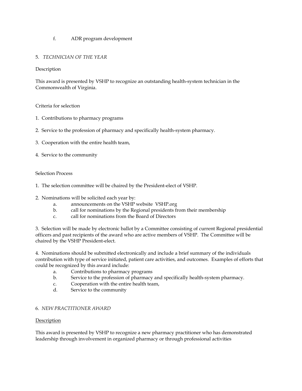## f. ADR program development

## 5. *TECHNICIAN OF THE YEAR*

## Description

This award is presented by VSHP to recognize an outstanding health-system technician in the Commonwealth of Virginia.

## Criteria for selection

- 1. Contributions to pharmacy programs
- 2. Service to the profession of pharmacy and specifically health-system pharmacy.
- 3. Cooperation with the entire health team,
- 4. Service to the community

## Selection Process

- 1. The selection committee will be chaired by the President-elect of VSHP.
- 2. Nominations will be solicited each year by:
	- a. announcements on the VSHP website VSHP.org
	- b. call for nominations by the Regional presidents from their membership
	- c. call for nominations from the Board of Directors

3. Selection will be made by electronic ballot by a Committee consisting of current Regional presidential officers and past recipients of the award who are active members of VSHP. The Committee will be chaired by the VSHP President-elect.

4. Nominations should be submitted electronically and include a brief summary of the individuals contribution with type of service initiated, patient care activities, and outcomes. Examples of efforts that could be recognized by this award include:

- a. Contributions to pharmacy programs
- b. Service to the profession of pharmacy and specifically health-system pharmacy.
- c. Cooperation with the entire health team,
- d. Service to the community

## 6. *NEW PRACTITIONER AWARD*

## **Description**

This award is presented by VSHP to recognize a new pharmacy practitioner who has demonstrated leadership through involvement in organized pharmacy or through professional activities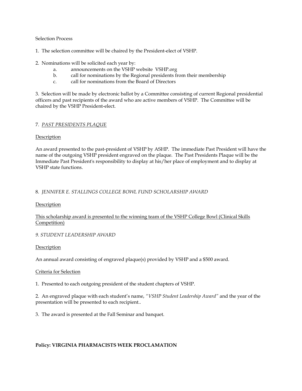Selection Process

- 1. The selection committee will be chaired by the President-elect of VSHP.
- 2. Nominations will be solicited each year by:
	- a. announcements on the VSHP website VSHP.org
	- b. call for nominations by the Regional presidents from their membership
	- c. call for nominations from the Board of Directors

3. Selection will be made by electronic ballot by a Committee consisting of current Regional presidential officers and past recipients of the award who are active members of VSHP. The Committee will be chaired by the VSHP President-elect.

## 7. *PAST PRESIDENTS PLAQUE*

## Description

An award presented to the past-president of VSHP by ASHP. The immediate Past President will have the name of the outgoing VSHP president engraved on the plaque. The Past Presidents Plaque will be the Immediate Past President's responsibility to display at his/her place of employment and to display at VSHP state functions.

## 8. *JENNIFER E. STALLINGS COLLEGE BOWL FUND SCHOLARSHIP AWARD*

#### Description

## This scholarship award is presented to the winning team of the VSHP College Bowl (Clinical Skills Competition)

## *9. STUDENT LEADERSHIP AWARD*

#### **Description**

An annual award consisting of engraved plaque(s) provided by VSHP and a \$500 award.

#### Criteria for Selection

1. Presented to each outgoing president of the student chapters of VSHP.

2. An engraved plaque with each student's name, *"VSHP Student Leadership Award"* and the year of the presentation will be presented to each recipient..

3. The award is presented at the Fall Seminar and banquet.

## **Policy: VIRGINIA PHARMACISTS WEEK PROCLAMATION**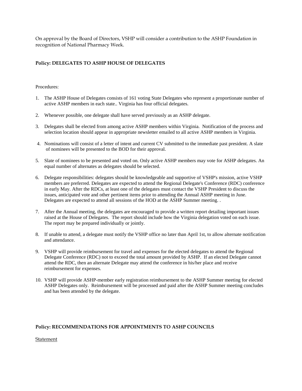On approval by the Board of Directors, VSHP will consider a contribution to the ASHP Foundation in recognition of National Pharmacy Week.

## **Policy: DELEGATES TO ASHP HOUSE OF DELEGATES**

#### Procedures:

- 1. The ASHP House of Delegates consists of 161 voting State Delegates who represent a proportionate number of active ASHP members in each state.. Virginia has four official delegates.
- 2. Whenever possible, one delegate shall have served previously as an ASHP delegate.
- 3. Delegates shall be elected from among active ASHP members within Virginia. Notification of the process and selection location should appear in appropriate newsletter emailed to all active ASHP members in Virginia.
- 4. Nominations will consist of a letter of intent and current CV submitted to the immediate past president. A slate of nominees will be presented to the BOD for their approval.
- 5. Slate of nominees to be presented and voted on. Only active ASHP members may vote for ASHP delegates. An equal number of alternates as delegates should be selected.
- 6. Delegate responsibilities: delegates should be knowledgeable and supportive of VSHP's mission, active VSHP members are preferred. Delegates are expected to attend the Regional Delegate's Conference (RDC) conference in early May. After the RDCs, at least one of the delegates must contact the VSHP President to discuss the issues, anticipated vote and other pertinent items prior to attending the Annual ASHP meeting in June. Delegates are expected to attend all sessions of the HOD at the ASHP Summer meeting. .
- 7. After the Annual meeting, the delegates are encouraged to provide a written report detailing important issues raised at the House of Delegates. The report should include how the Virginia delegation voted on each issue. The report may be prepared individually or jointly.
- 8. If unable to attend, a delegate must notify the VSHP office no later than April 1st, to allow alternate notification and attendance.
- 9. VSHP will provide reimbursement for travel and expenses for the elected delegates to attend the Regional Delegate Conference (RDC) not to exceed the total amount provided by ASHP. If an elected Delegate cannot attend the RDC, then an alternate Delegate may attend the conference in his/her place and receive reimbursement for expenses.
- 10. VSHP will provide ASHP-member early registration reimbursement to the ASHP Summer meeting for elected ASHP Delegates only. Reimbursement will be processed and paid after the ASHP Summer meeting concludes and has been attended by the delegate.

#### **Policy: RECOMMENDATIONS FOR APPOINTMENTS TO ASHP COUNCILS**

Statement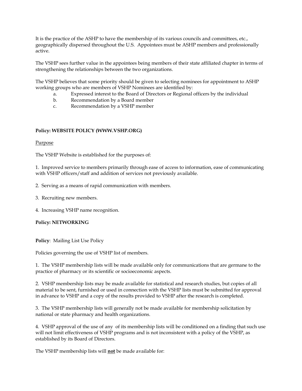It is the practice of the ASHP to have the membership of its various councils and committees, etc., geographically dispersed throughout the U.S. Appointees must be ASHP members and professionally active.

The VSHP sees further value in the appointees being members of their state affiliated chapter in terms of strengthening the relationships between the two organizations.

The VSHP believes that some priority should be given to selecting nominees for appointment to ASHP working groups who are members of VSHP Nominees are identified by:

- a. Expressed interest to the Board of Directors or Regional officers by the individual
- b. Recommendation by a Board member
- c. Recommendation by a VSHP member

## **Policy: WEBSITE POLICY (WWW.VSHP.ORG)**

#### Purpose

The VSHP Website is established for the purposes of:

1. Improved service to members primarily through ease of access to information, ease of communicating with VSHP officers/staff and addition of services not previously available.

2. Serving as a means of rapid communication with members.

- 3. Recruiting new members.
- 4. Increasing VSHP name recognition.

#### **Policy: NETWORKING**

**Policy**: Mailing List Use Policy

Policies governing the use of VSHP list of members.

1. The VSHP membership lists will be made available only for communications that are germane to the practice of pharmacy or its scientific or socioeconomic aspects.

2. VSHP membership lists may be made available for statistical and research studies, but copies of all material to be sent, furnished or used in connection with the VSHP lists must be submitted for approval in advance to VSHP and a copy of the results provided to VSHP after the research is completed.

3. The VSHP membership lists will generally not be made available for membership solicitation by national or state pharmacy and health organizations.

4. VSHP approval of the use of any of its membership lists will be conditioned on a finding that such use will not limit effectiveness of VSHP programs and is not inconsistent with a policy of the VSHP, as established by its Board of Directors.

The VSHP membership lists will **not** be made available for: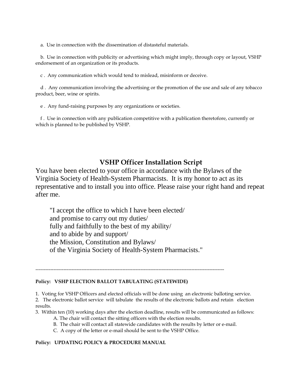a. Use in connection with the dissemination of distasteful materials.

 b. Use in connection with publicity or advertising which might imply, through copy or layout, VSHP endorsement of an organization or its products.

c . Any communication which would tend to mislead, misinform or deceive.

 d . Any communication involving the advertising or the promotion of the use and sale of any tobacco product, beer, wine or spirits.

e . Any fund-raising purposes by any organizations or societies.

 f . Use in connection with any publication competitive with a publication theretofore, currently or which is planned to be published by VSHP.

## **VSHP Officer Installation Script**

You have been elected to your office in accordance with the Bylaws of the Virginia Society of Health-System Pharmacists. It is my honor to act as its representative and to install you into office. Please raise your right hand and repeat after me.

"I accept the office to which I have been elected/ and promise to carry out my duties/ fully and faithfully to the best of my ability/ and to abide by and support/ the Mission, Constitution and Bylaws/ of the Virginia Society of Health-System Pharmacists."

-------------------------------------------------------------------------------------------------------------------

## **Policy: VSHP ELECTION BALLOT TABULATING (STATEWIDE)**

1. Voting for VSHP Officers and elected officials will be done using an electronic balloting service.

2. The electronic ballot service will tabulate the results of the electronic ballots and retain election results.

3. Within ten (10) working days after the election deadline, results will be communicated as follows:

- A. The chair will contact the sitting officers with the election results.
- B. The chair will contact all statewide candidates with the results by letter or e-mail.
- C. A copy of the letter or e-mail should be sent to the VSHP Office.

## **Policy: UPDATING POLICY & PROCEDURE MANUAL**